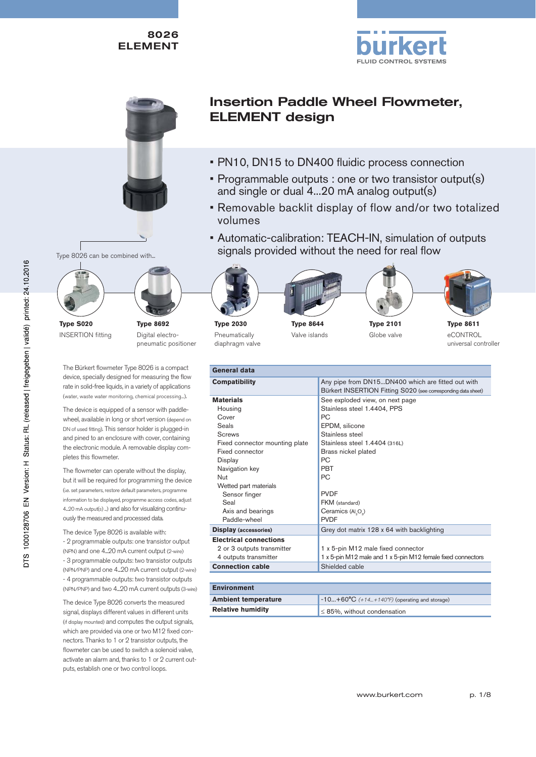



# Insertion Paddle Wheel Flowmeter, ELEMENT design

- PN10, DN15 to DN400 fluidic process connection
- Programmable outputs : one or two transistor output(s) and single or dual 4...20 mA analog output(s)
- Removable backlit display of flow and/or two totalized volumes
- Automatic-calibration: TEACH-IN, simulation of outputs Type 8026 can be combined with... signals provided without the need for real flow









**Type 8611** eCONTROL universal controller

**Type 8692** Digital electropneumatic positioner

The Bürkert flowmeter Type 8026 is a compact device, specially designed for measuring the flow rate in solid-free liquids, in a variety of applications (water, waste water monitoring, chemical processing...).

**Type S020** INSERTION fitting

The device is equipped of a sensor with paddlewheel, available in long or short version (depend on DN of used fitting). This sensor holder is plugged-in and pined to an enclosure with cover, containing the electronic module. A removable display completes this flowmeter.

The flowmeter can operate without the display, but it will be required for programming the device (i.e. set parameters, restore default parameters, programme information to be displayed, programme access codes, adjust 4...20 mA output(s) ...) and also for visualizing continuously the measured and processed data.

The device Type 8026 is available with: - 2 programmable outputs: one transistor output (NPN) and one 4...20 mA current output (2-wire) - 3 programmable outputs: two transistor outputs (NPN/PNP) and one 4...20 mA current output (2-wire) - 4 programmable outputs: two transistor outputs (NPN/PNP) and two 4...20 mA current outputs (3-wire)

The device Type 8026 converts the measured signal, displays different values in different units (if display mounted) and computes the output signals, which are provided via one or two M12 fixed connectors. Thanks to 1 or 2 transistor outputs, the flowmeter can be used to switch a solenoid valve, activate an alarm and, thanks to 1 or 2 current outputs, establish one or two control loops.

### **Type 2030** Pneumatically diaphragm valve





**Type 2101** Globe valve

| General data                   |                                                                                                                    |  |  |
|--------------------------------|--------------------------------------------------------------------------------------------------------------------|--|--|
| <b>Compatibility</b>           | Any pipe from DN15DN400 which are fitted out with<br>Bürkert INSERTION Fitting S020 (see corresponding data sheet) |  |  |
| <b>Materials</b>               | See exploded view, on next page                                                                                    |  |  |
| Housing                        | Stainless steel 1.4404, PPS                                                                                        |  |  |
| Cover                          | РC                                                                                                                 |  |  |
| Seals                          | EPDM, silicone                                                                                                     |  |  |
| Screws                         | Stainless steel                                                                                                    |  |  |
| Fixed connector mounting plate | Stainless steel 1.4404 (316L)                                                                                      |  |  |
| Fixed connector                | Brass nickel plated                                                                                                |  |  |
| Display                        | PC.                                                                                                                |  |  |
| Navigation key                 | <b>PRT</b>                                                                                                         |  |  |
| Nut                            | РC                                                                                                                 |  |  |
| Wetted part materials          |                                                                                                                    |  |  |
| Sensor finger                  | <b>PVDF</b>                                                                                                        |  |  |
| Seal                           | FKM (standard)                                                                                                     |  |  |
| Axis and bearings              | Ceramics (Al <sub>2</sub> O <sub>3</sub> )                                                                         |  |  |
| Paddle-wheel                   | <b>PVDF</b>                                                                                                        |  |  |
| <b>Display</b> (accessories)   | Grey dot matrix 128 x 64 with backlighting                                                                         |  |  |
| <b>Electrical connections</b>  |                                                                                                                    |  |  |
| 2 or 3 outputs transmitter     | 1 x 5-pin M12 male fixed connector                                                                                 |  |  |
| 4 outputs transmitter          | 1 x 5-pin M12 male and 1 x 5-pin M12 female fixed connectors                                                       |  |  |
| <b>Connection cable</b>        | Shielded cable                                                                                                     |  |  |

| <b>Environment</b>         |                                                       |  |  |  |
|----------------------------|-------------------------------------------------------|--|--|--|
| <b>Ambient temperature</b> | $-10+60^{\circ}C$ (+14+140°F) (operating and storage) |  |  |  |
| <b>Relative humidity</b>   | $\leq$ 85%, without condensation                      |  |  |  |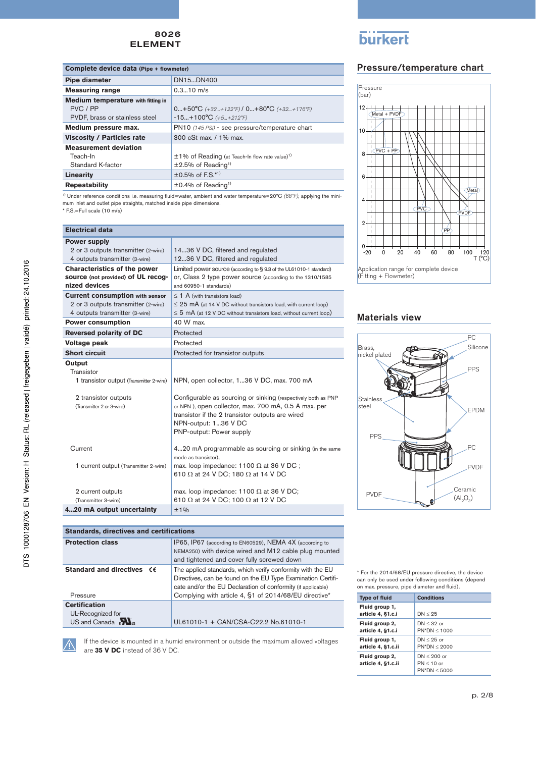| Complete device data (Pipe + flowmeter) |                                                                  |  |  |
|-----------------------------------------|------------------------------------------------------------------|--|--|
| Pipe diameter                           | DN15DN400                                                        |  |  |
| <b>Measuring range</b>                  | $0.310$ m/s                                                      |  |  |
| Medium temperature with fitting in      |                                                                  |  |  |
| PVC / PP                                | $0+50^{\circ}C$ (+32+122°F) / $0+80^{\circ}C$ (+32+176°F)        |  |  |
| PVDF, brass or stainless steel          | $-15+100^{\circ}C$ (+5+212°F)                                    |  |  |
| Medium pressure max.                    | PN10 (145 PSI) - see pressure/temperature chart                  |  |  |
| <b>Viscosity / Particles rate</b>       | 300 cSt max. / 1% max.                                           |  |  |
| <b>Measurement deviation</b>            |                                                                  |  |  |
| Teach-In                                | $\pm 1\%$ of Reading (at Teach-In flow rate value) <sup>1)</sup> |  |  |
| Standard K-factor                       | $±2.5\%$ of Reading <sup>1)</sup>                                |  |  |
| Linearity                               | $\pm 0.5\%$ of F.S.*1)                                           |  |  |
| <b>Repeatability</b>                    | $\pm 0.4\%$ of Reading <sup>1)</sup>                             |  |  |

<sup>1)</sup> Under reference conditions i.e. measuring fluid=water, ambient and water temperature=20°C (68°F), applying the minimum inlet and outlet pipe straights, matched inside pipe dimensions. \* F.S.=Full scale (10 m/s)

| <b>Electrical data</b>                   |                                                                         |  |  |
|------------------------------------------|-------------------------------------------------------------------------|--|--|
| <b>Power supply</b>                      |                                                                         |  |  |
| 2 or 3 outputs transmitter (2-wire)      | 1436 V DC, filtered and regulated                                       |  |  |
| 4 outputs transmitter (3-wire)           | 1236 V DC, filtered and regulated                                       |  |  |
| <b>Characteristics of the power</b>      | Limited power source (according to §9.3 of the UL61010-1 standard)      |  |  |
| source (not provided) of UL recog-       | or, Class 2 type power source (according to the 1310/1585               |  |  |
| nized devices                            | and 60950-1 standards)                                                  |  |  |
| <b>Current consumption with sensor</b>   | $\leq$ 1 A (with transistors load)                                      |  |  |
| 2 or 3 outputs transmitter (2-wire)      | $\leq$ 25 mA (at 14 V DC without transistors load, with current loop)   |  |  |
| 4 outputs transmitter (3-wire)           | $\leq$ 5 mA (at 12 V DC without transistors load, without current loop) |  |  |
| <b>Power consumption</b>                 | 40 W max.                                                               |  |  |
| <b>Reversed polarity of DC</b>           | Protected                                                               |  |  |
| Voltage peak                             | Protected                                                               |  |  |
| <b>Short circuit</b>                     | Protected for transistor outputs                                        |  |  |
| Output                                   |                                                                         |  |  |
| Transistor                               |                                                                         |  |  |
| 1 transistor output (Transmitter 2-wire) | NPN, open collector, 136 V DC, max. 700 mA                              |  |  |
|                                          |                                                                         |  |  |
| 2 transistor outputs                     | Configurable as sourcing or sinking (respectively both as PNP           |  |  |
| (Transmitter 2 or 3-wire)                | or NPN), open collector, max. 700 mA, 0.5 A max. per                    |  |  |
|                                          | transistor if the 2 transistor outputs are wired                        |  |  |
|                                          | NPN-output: 136 V DC                                                    |  |  |
|                                          | PNP-output: Power supply                                                |  |  |
| Current                                  | 420 mA programmable as sourcing or sinking (in the same                 |  |  |
|                                          | mode as transistor).                                                    |  |  |
| 1 current output (Transmitter 2-wire)    | max. loop impedance: 1100 $\Omega$ at 36 V DC;                          |  |  |
|                                          | 610 $\Omega$ at 24 V DC; 180 $\Omega$ at 14 V DC                        |  |  |
|                                          |                                                                         |  |  |
| 2 current outputs                        | max. loop impedance: 1100 $\Omega$ at 36 V DC;                          |  |  |
| (Transmitter 3-wire)                     | 610 $\Omega$ at 24 V DC; 100 $\Omega$ at 12 V DC                        |  |  |
| 420 mA output uncertainty                | ±1%                                                                     |  |  |

| <b>Standards, directives and certifications</b>                                     |                                                                                                                                                                                                                                                     |  |  |  |
|-------------------------------------------------------------------------------------|-----------------------------------------------------------------------------------------------------------------------------------------------------------------------------------------------------------------------------------------------------|--|--|--|
| <b>Protection class</b>                                                             | IP65, IP67 (according to EN60529), NEMA 4X (according to<br>NEMA250) with device wired and M12 cable plug mounted<br>and tightened and cover fully screwed down                                                                                     |  |  |  |
| Standard and directives CE<br>Pressure                                              | The applied standards, which verify conformity with the EU<br>Directives, can be found on the EU Type Examination Certifi-<br>cate and/or the EU Declaration of conformity (if applicable)<br>Complying with article 4, §1 of 2014/68/EU directive* |  |  |  |
| <b>Certification</b><br>UL-Recognized for<br>US and Canada $\mathbf{M}_{\text{us}}$ | UL61010-1 + CAN/CSA-C22.2 No.61010-1                                                                                                                                                                                                                |  |  |  |

Â

If the device is mounted in a humid environment or outside the maximum allowed voltages are **35 V DC** instead of 36 V DC.

# **burkert**

## Pressure/temperature chart



### Materials view



\* For the 2014/68/EU pressure directive, the device can only be used under following conditions (depend on max. pressure, pipe diameter and fluid).

| <b>Type of fluid</b>                 | <b>Conditions</b>                                |
|--------------------------------------|--------------------------------------------------|
| Fluid group 1,<br>article 4, §1.c.i  | DN < 25                                          |
| Fluid group 2,<br>article 4, §1.c.i  | $DN < 32$ or<br>$PN^*DN < 1000$                  |
| Fluid group 1,<br>article 4, §1.c.ii | $DN < 25$ or<br>$PN^*DN < 2000$                  |
| Fluid group 2,<br>article 4, §1.c.ii | $DN < 200$ or<br>$PN < 10$ or<br>$PN^*DN < 5000$ |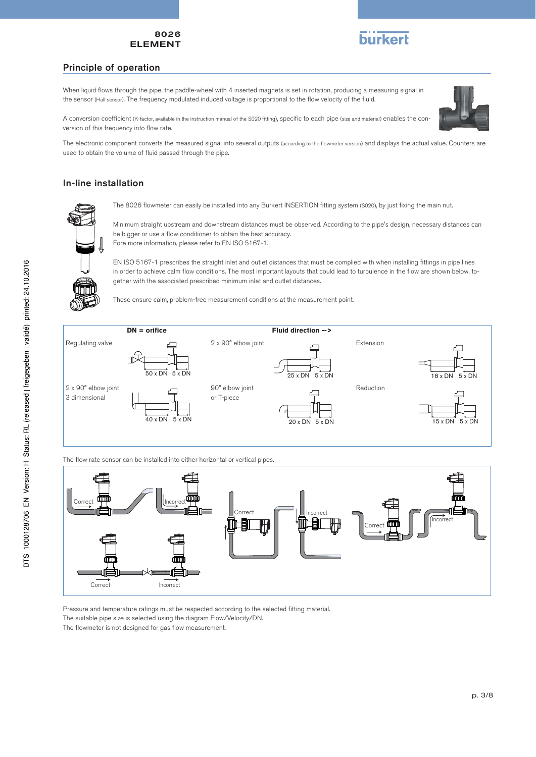

#### Principle of operation

When liquid flows through the pipe, the paddle-wheel with 4 inserted magnets is set in rotation, producing a measuring signal in the sensor (Hall sensor). The frequency modulated induced voltage is proportional to the flow velocity of the fluid.

A conversion coefficient (K-factor, available in the instruction manual of the S020 fitting), specific to each pipe (size and material) enables the conversion of this frequency into flow rate.



The electronic component converts the measured signal into several outputs (according to the flowmeter version) and displays the actual value. Counters are used to obtain the volume of fluid passed through the pipe.

### In-line installation



The 8026 flowmeter can easily be installed into any Bürkert INSERTION fitting system (S020), by just fixing the main nut.

Minimum straight upstream and downstream distances must be observed. According to the pipe's design, necessary distances can be bigger or use a flow conditioner to obtain the best accuracy. Fore more information, please refer to EN ISO 5167-1.



EN ISO 5167-1 prescribes the straight inlet and outlet distances that must be complied with when installing fittings in pipe lines in order to achieve calm flow conditions. The most important layouts that could lead to turbulence in the flow are shown below, together with the associated prescribed minimum inlet and outlet distances.

These ensure calm, problem-free measurement conditions at the measurement point.



The flow rate sensor can be installed into either horizontal or vertical pipes.



Pressure and temperature ratings must be respected according to the selected fitting material. The suitable pipe size is selected using the diagram Flow/Velocity/DN.

The flowmeter is not designed for gas flow measurement.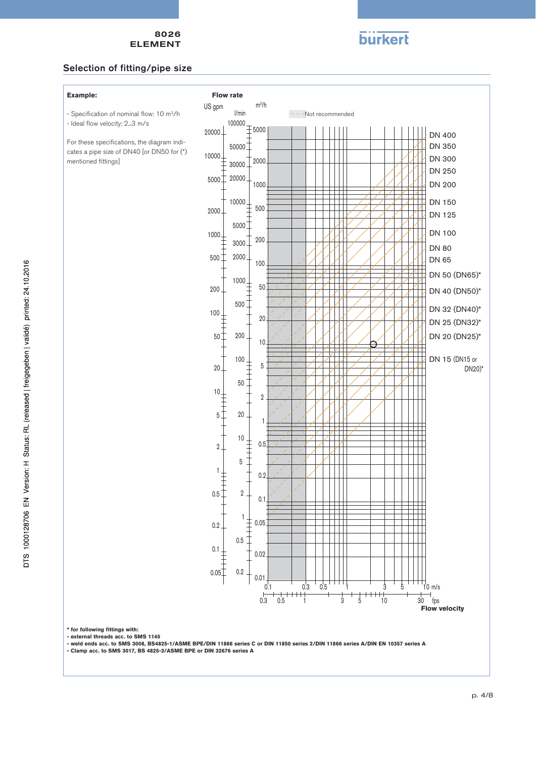

#### Selection of fitting/pipe size

- Specification of nominal flow: 10 m3/h

For these specifications, the diagram indicates a pipe size of DN40 [or DN50 for (\*)

- Ideal flow velocity: 2...3 m/s

mentioned fittings]

#### **Example:**

**Flow rate**



DTS 1000128706 EN Version: H Status: RL (released | freigegeben | validé) printed: 24.10.2016

**\* for following fittings with: - external threads acc. to SMS 1145**

**- weld ends acc. to SMS 3008, BS4825-1/ASME BPE/DIN 11866 series C or DIN 11850 series 2/DIN 11866 series A/DIN EN 10357 series A**

**- Clamp acc. to SMS 3017, BS 4825-3/ASME BPE or DIN 32676 series A**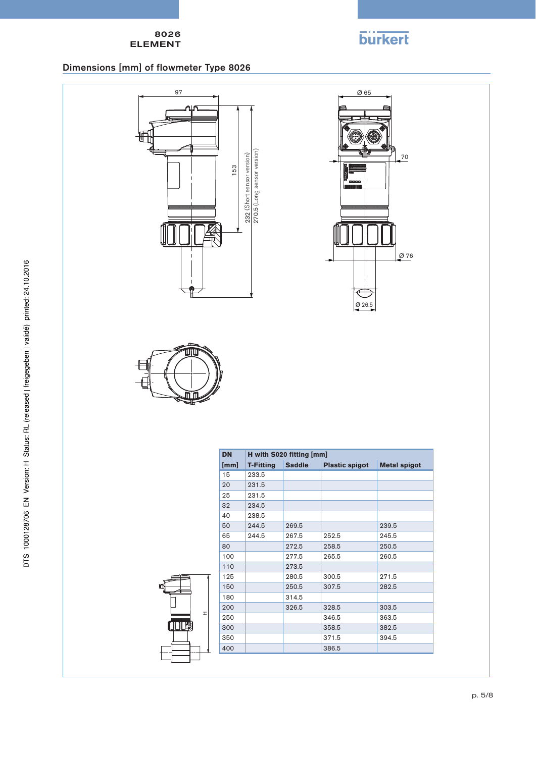

# Dimensions [mm] of flowmeter Type 8026







H

mη

| <b>DN</b> | H with S020 fitting [mm] |               |                       |                     |  |
|-----------|--------------------------|---------------|-----------------------|---------------------|--|
| [mm]      | <b>T-Fitting</b>         | <b>Saddle</b> | <b>Plastic spigot</b> | <b>Metal spigot</b> |  |
| 15        | 233.5                    |               |                       |                     |  |
| 20        | 231.5                    |               |                       |                     |  |
| 25        | 231.5                    |               |                       |                     |  |
| 32        | 234.5                    |               |                       |                     |  |
| 40        | 238.5                    |               |                       |                     |  |
| 50        | 244.5                    | 269.5         |                       | 239.5               |  |
| 65        | 244.5                    | 267.5         | 252.5                 | 245.5               |  |
| 80        |                          | 272.5         | 258.5                 | 250.5               |  |
| 100       |                          | 277.5         | 265.5                 | 260.5               |  |
| 110       |                          | 273.5         |                       |                     |  |
| 125       |                          | 280.5         | 300.5                 | 271.5               |  |
| 150       |                          | 250.5         | 307.5                 | 282.5               |  |
| 180       |                          | 314.5         |                       |                     |  |
| 200       |                          | 326.5         | 328.5                 | 303.5               |  |
| 250       |                          |               | 346.5                 | 363.5               |  |
| 300       |                          |               | 358.5                 | 382.5               |  |
| 350       |                          |               | 371.5                 | 394.5               |  |
| 400       |                          |               | 386.5                 |                     |  |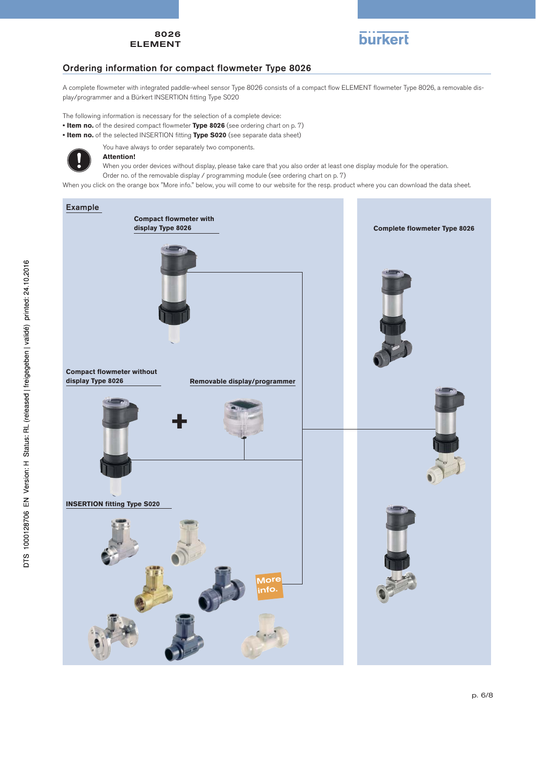

# Ordering information for compact flowmeter Type 8026

A complete flowmeter with integrated paddle-wheel sensor Type 8026 consists of a compact flow ELEMENT flowmeter Type 8026, a removable display/programmer and a Bürkert INSERTION fitting Type S020

The following information is necessary for the selection of a complete device:

- **Item no.** of the desired compact flowmeter **Type 8026** (see ordering chart on p. 7)
- **Item no.** of the selected INSERTION fitting **Type S020** (see separate data sheet)



#### You have always to order separately two components. **Attention!**

When you order devices without display, please take care that you also order at least one display module for the operation. Order no. of the removable display / programming module (see ordering chart on p. 7)

When you click on the orange box "More info." below, you will come to our website for the resp. product where you can download the data sheet.

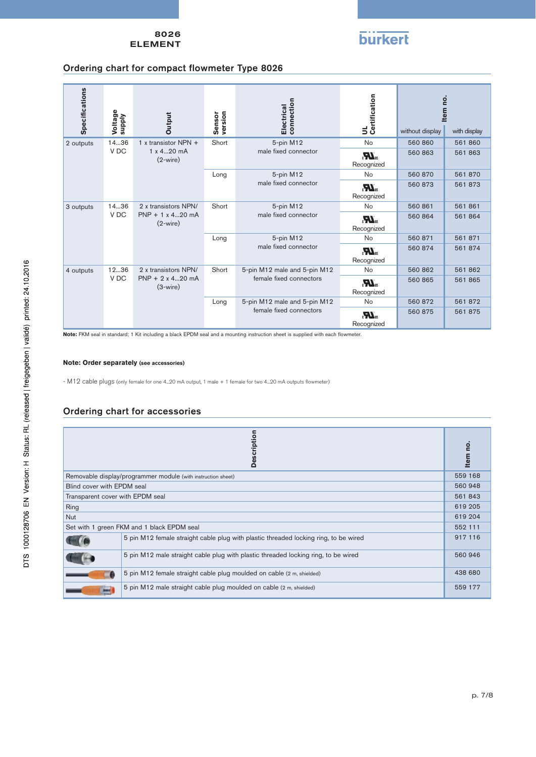# **burkert**

## Ordering chart for compact flowmeter Type 8026

| <b>Specifications</b>                     | Voltage<br>supply                             | Output                                | version<br>Sensor             | connection<br>Electrical       | UL<br>Certification  |                                      | Item no.                             |         |         |
|-------------------------------------------|-----------------------------------------------|---------------------------------------|-------------------------------|--------------------------------|----------------------|--------------------------------------|--------------------------------------|---------|---------|
|                                           |                                               |                                       |                               |                                |                      | without display                      | with display                         |         |         |
| 2 outputs                                 | 1436                                          | 1 x transistor NPN $+$                | Short                         | 5-pin M12                      | <b>No</b>            | 560 860                              | 561 860                              |         |         |
|                                           | V <sub>DC</sub><br>1 x 420 mA<br>$(2-wire)$   |                                       |                               |                                | male fixed connector | $\mathbf{M}_\text{us}$<br>Recognized | 560 863                              | 561 863 |         |
|                                           |                                               |                                       | Long                          | 5-pin M12                      | <b>No</b>            | 560 870                              | 561 870                              |         |         |
|                                           |                                               |                                       | male fixed connector          | $\sum_{\alpha}$<br>Recognized  | 560 873              | 561 873                              |                                      |         |         |
| 3 outputs                                 | 1436                                          | 2 x transistors NPN/                  | Short                         | 5-pin M12                      | <b>No</b>            | 560 861                              | 561 861                              |         |         |
|                                           | V <sub>DC</sub>                               | $PNP + 1 \times 420$ mA<br>$(2-wire)$ |                               |                                |                      | male fixed connector                 | $\mathbf{M}_\text{us}$<br>Recognized | 560 864 | 561 864 |
|                                           |                                               |                                       | Long                          | 5-pin M12                      | <b>No</b>            | 560 871                              | 561 871                              |         |         |
|                                           |                                               |                                       | male fixed connector          | $\sum_{i=1}^{n}$<br>Recognized | 560 874              | 561 874                              |                                      |         |         |
| 1236<br>2 x transistors NPN/<br>4 outputs | Short                                         | 5-pin M12 male and 5-pin M12          | <b>No</b>                     | 560 862                        | 561862               |                                      |                                      |         |         |
|                                           | V DC<br>$PNP + 2 \times 420$ mA<br>$(3-wire)$ |                                       | female fixed connectors       | $\sum_{\alpha}$<br>Recognized  | 560 865              | 561 865                              |                                      |         |         |
|                                           |                                               | Long                                  | 5-pin M12 male and 5-pin M12  | <b>No</b>                      | 560 872              | 561 872                              |                                      |         |         |
|                                           |                                               | female fixed connectors               | $\sum_{\alpha}$<br>Recognized | 560 875                        | 561 875              |                                      |                                      |         |         |

**Note:** FKM seal in standard; 1 Kit including a black EPDM seal and a mounting instruction sheet is supplied with each flowmeter.

#### **Note: Order separately (see accessories)**

- M12 cable plugs (only female for one 4...20 mA output, 1 male + 1 female for two 4...20 mA outputs flowmeter)

### Ordering chart for accessories

| ription<br>Des                             |                                                                                      |         |  |
|--------------------------------------------|--------------------------------------------------------------------------------------|---------|--|
|                                            | Removable display/programmer module (with instruction sheet)                         | 559 168 |  |
| Blind cover with EPDM seal                 |                                                                                      | 560 948 |  |
|                                            | Transparent cover with EPDM seal                                                     |         |  |
| Ring                                       |                                                                                      | 619 205 |  |
| <b>Nut</b>                                 |                                                                                      |         |  |
| Set with 1 green FKM and 1 black EPDM seal |                                                                                      |         |  |
|                                            | 5 pin M12 female straight cable plug with plastic threaded locking ring, to be wired | 917 116 |  |
|                                            | 5 pin M12 male straight cable plug with plastic threaded locking ring, to be wired   | 560 946 |  |
|                                            | 5 pin M12 female straight cable plug moulded on cable (2 m, shielded)                | 438 680 |  |
|                                            | 5 pin M12 male straight cable plug moulded on cable (2 m, shielded)                  | 559 177 |  |